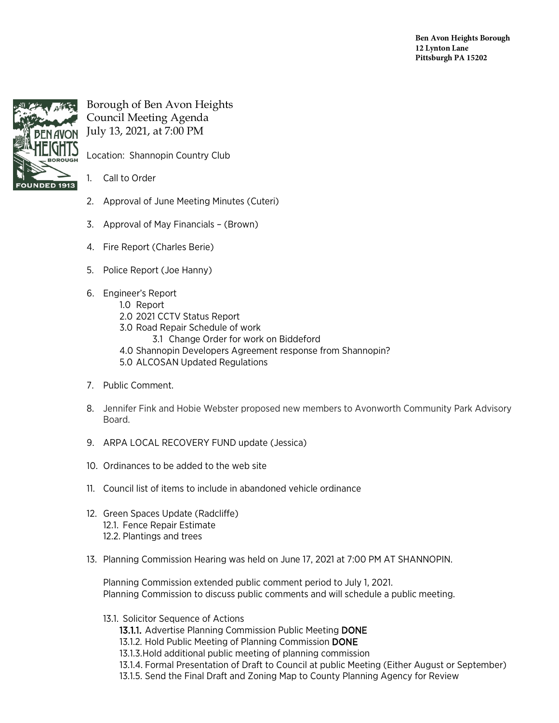**Ben Avon Heights Borough 12 Lynton Lane Pittsburgh PA 15202**



## Borough of Ben Avon Heights Council Meeting Agenda July 13, 2021, at 7:00 PM

Location: Shannopin Country Club

## 1. Call to Order

- 2. Approval of June Meeting Minutes (Cuteri)
- 3. Approval of May Financials (Brown)
- 4. Fire Report (Charles Berie)
- 5. Police Report (Joe Hanny)
- 6. Engineer's Report
	- 1.0 Report
	- 2.0 2021 CCTV Status Report
	- 3.0 Road Repair Schedule of work
		- 3.1 Change Order for work on Biddeford
	- 4.0 Shannopin Developers Agreement response from Shannopin?
	- 5.0 ALCOSAN Updated Regulations
- 7. Public Comment.
- 8. Jennifer Fink and Hobie Webster proposed new members to Avonworth Community Park Advisory Board.
- 9. ARPA LOCAL RECOVERY FUND update (Jessica)
- 10. Ordinances to be added to the web site
- 11. Council list of items to include in abandoned vehicle ordinance
- 12. Green Spaces Update (Radcliffe) 12.1. Fence Repair Estimate 12.2. Plantings and trees
- 13. Planning Commission Hearing was held on June 17, 2021 at 7:00 PM AT SHANNOPIN.

Planning Commission extended public comment period to July 1, 2021. Planning Commission to discuss public comments and will schedule a public meeting.

- 13.1. Solicitor Sequence of Actions
	- 13.1.1. Advertise Planning Commission Public Meeting DONE
	- 13.1.2. Hold Public Meeting of Planning Commission DONE
	- 13.1.3.Hold additional public meeting of planning commission
	- 13.1.4. Formal Presentation of Draft to Council at public Meeting (Either August or September)
	- 13.1.5. Send the Final Draft and Zoning Map to County Planning Agency for Review